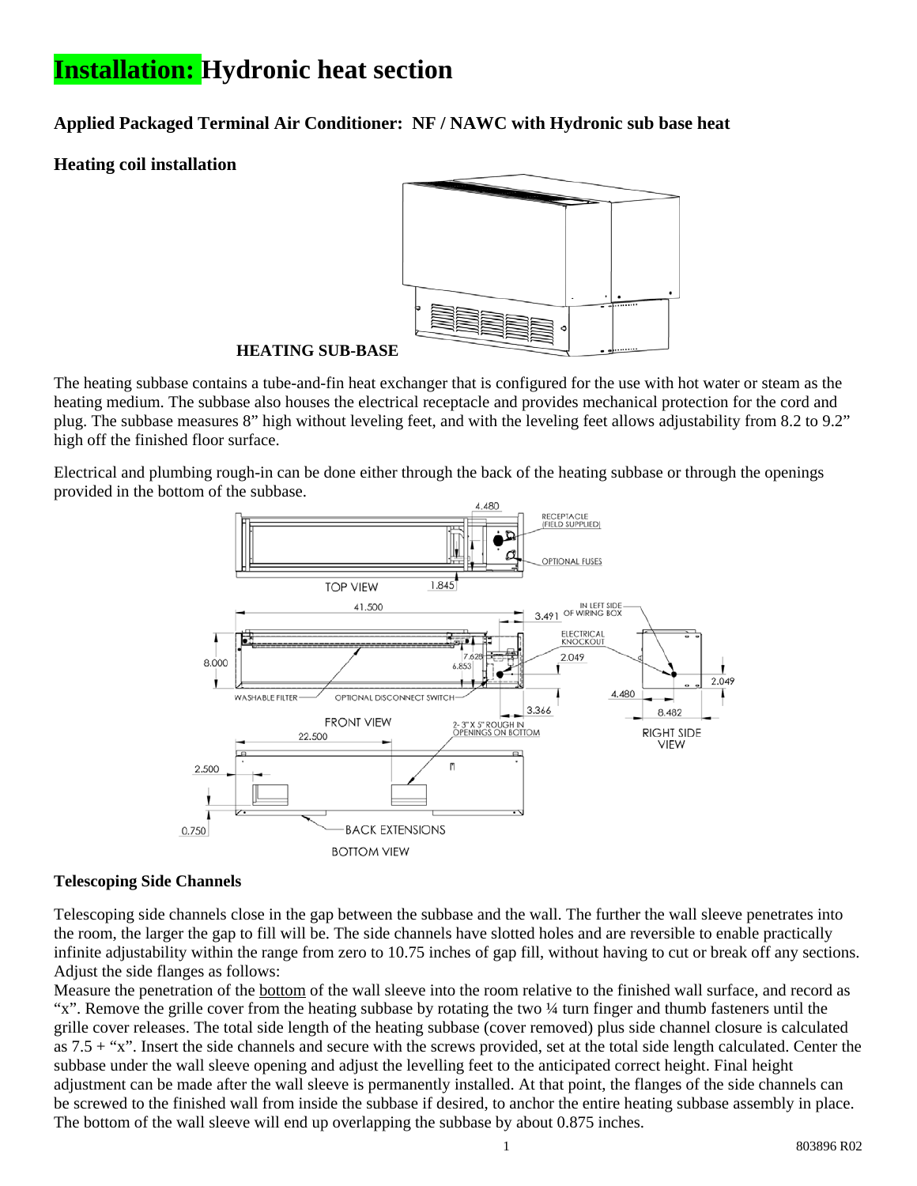# **Installation: Hydronic heat section**

**Applied Packaged Terminal Air Conditioner: NF / NAWC with Hydronic sub base heat** 

## **Heating coil installation**



#### **HEATING SUB-BASE**

The heating subbase contains a tube-and-fin heat exchanger that is configured for the use with hot water or steam as the heating medium. The subbase also houses the electrical receptacle and provides mechanical protection for the cord and plug. The subbase measures 8" high without leveling feet, and with the leveling feet allows adjustability from 8.2 to 9.2" high off the finished floor surface.

Electrical and plumbing rough-in can be done either through the back of the heating subbase or through the openings provided in the bottom of the subbase.



#### **Telescoping Side Channels**

Telescoping side channels close in the gap between the subbase and the wall. The further the wall sleeve penetrates into the room, the larger the gap to fill will be. The side channels have slotted holes and are reversible to enable practically infinite adjustability within the range from zero to 10.75 inches of gap fill, without having to cut or break off any sections. Adjust the side flanges as follows:

Measure the penetration of the bottom of the wall sleeve into the room relative to the finished wall surface, and record as "x". Remove the grille cover from the heating subbase by rotating the two ¼ turn finger and thumb fasteners until the grille cover releases. The total side length of the heating subbase (cover removed) plus side channel closure is calculated as 7.5 + "x". Insert the side channels and secure with the screws provided, set at the total side length calculated. Center the subbase under the wall sleeve opening and adjust the levelling feet to the anticipated correct height. Final height adjustment can be made after the wall sleeve is permanently installed. At that point, the flanges of the side channels can be screwed to the finished wall from inside the subbase if desired, to anchor the entire heating subbase assembly in place. The bottom of the wall sleeve will end up overlapping the subbase by about 0.875 inches.